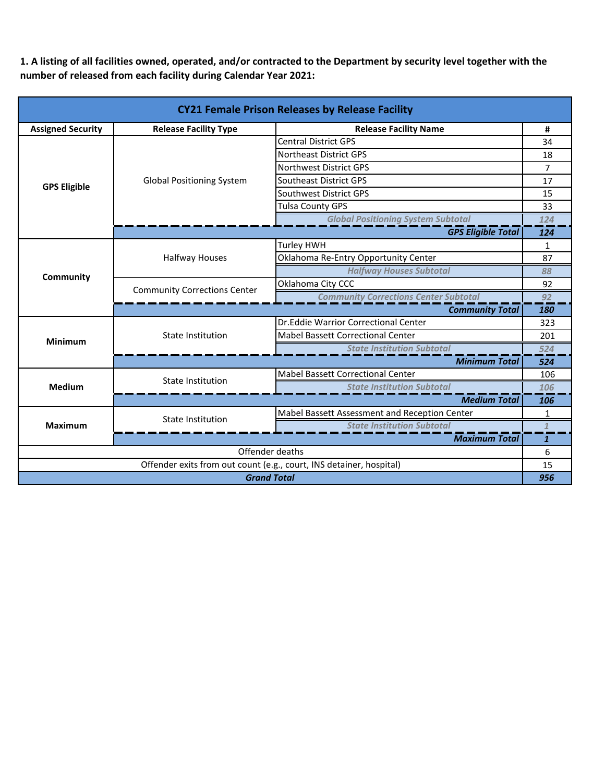**1. A listing of all facilities owned, operated, and/or contracted to the Department by security level together with the number of released from each facility during Calendar Year 2021:**

| <b>CY21 Female Prison Releases by Release Facility</b>              |                                                              |                                               |                |
|---------------------------------------------------------------------|--------------------------------------------------------------|-----------------------------------------------|----------------|
| <b>Assigned Security</b>                                            | <b>Release Facility Name</b><br><b>Release Facility Type</b> |                                               | #              |
|                                                                     |                                                              | <b>Central District GPS</b>                   | 34             |
|                                                                     |                                                              | <b>Northeast District GPS</b>                 | 18             |
|                                                                     |                                                              | <b>Northwest District GPS</b>                 | $\overline{7}$ |
| <b>GPS Eligible</b>                                                 | <b>Global Positioning System</b>                             | Southeast District GPS                        | 17             |
|                                                                     |                                                              | Southwest District GPS                        | 15             |
|                                                                     |                                                              | <b>Tulsa County GPS</b>                       | 33             |
|                                                                     |                                                              | <b>Global Positioning System Subtotal</b>     | 124            |
|                                                                     |                                                              | <b>GPS Eligible Total</b>                     | 124            |
|                                                                     |                                                              | Turley HWH                                    | $\mathbf{1}$   |
|                                                                     | <b>Halfway Houses</b>                                        | Oklahoma Re-Entry Opportunity Center          | 87             |
| Community                                                           |                                                              | <b>Halfway Houses Subtotal</b>                | 88             |
|                                                                     | <b>Community Corrections Center</b>                          | Oklahoma City CCC                             | 92             |
|                                                                     |                                                              | <b>Community Corrections Center Subtotal</b>  | 92             |
|                                                                     | <b>Community Total</b>                                       |                                               |                |
|                                                                     | <b>State Institution</b>                                     | Dr. Eddie Warrior Correctional Center         | 323            |
| <b>Minimum</b>                                                      |                                                              | <b>Mabel Bassett Correctional Center</b>      | 201            |
|                                                                     |                                                              | <b>State Institution Subtotal</b>             | 524            |
|                                                                     | <b>Minimum Total</b>                                         |                                               |                |
|                                                                     | <b>State Institution</b>                                     | <b>Mabel Bassett Correctional Center</b>      | 106            |
| <b>Medium</b>                                                       |                                                              | <b>State Institution Subtotal</b>             | 106            |
|                                                                     | <b>Medium Total</b>                                          |                                               |                |
|                                                                     | <b>State Institution</b>                                     | Mabel Bassett Assessment and Reception Center | $\mathbf{1}$   |
| <b>Maximum</b>                                                      |                                                              | <b>State Institution Subtotal</b>             |                |
|                                                                     | <b>Maximum Total</b>                                         |                                               |                |
| Offender deaths                                                     |                                                              |                                               | 6              |
| Offender exits from out count (e.g., court, INS detainer, hospital) |                                                              |                                               | 15             |
| <b>Grand Total</b>                                                  |                                                              |                                               | 956            |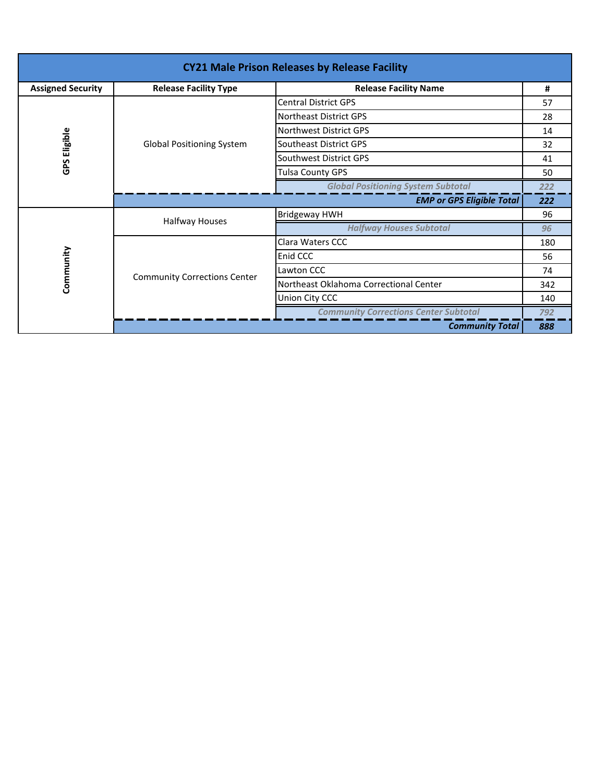| <b>CY21 Male Prison Releases by Release Facility</b> |                                                              |                                              |     |  |
|------------------------------------------------------|--------------------------------------------------------------|----------------------------------------------|-----|--|
| <b>Assigned Security</b>                             | <b>Release Facility Type</b><br><b>Release Facility Name</b> |                                              | #   |  |
|                                                      |                                                              | <b>Central District GPS</b>                  | 57  |  |
|                                                      |                                                              | Northeast District GPS                       | 28  |  |
|                                                      | <b>Global Positioning System</b>                             | <b>Northwest District GPS</b>                | 14  |  |
| <b>GPS Eligible</b>                                  |                                                              | Southeast District GPS                       | 32  |  |
|                                                      |                                                              | Southwest District GPS                       | 41  |  |
|                                                      |                                                              | Tulsa County GPS                             | 50  |  |
|                                                      |                                                              | <b>Global Positioning System Subtotal</b>    | 222 |  |
|                                                      | <b>EMP or GPS Eligible Total</b>                             |                                              |     |  |
|                                                      | Halfway Houses                                               | <b>Bridgeway HWH</b>                         | 96  |  |
|                                                      |                                                              | <b>Halfway Houses Subtotal</b>               | 96  |  |
|                                                      | <b>Community Corrections Center</b>                          | Clara Waters CCC                             | 180 |  |
|                                                      |                                                              | Enid CCC                                     | 56  |  |
|                                                      |                                                              | Lawton CCC                                   | 74  |  |
| Community                                            |                                                              | Northeast Oklahoma Correctional Center       | 342 |  |
|                                                      |                                                              | Union City CCC                               | 140 |  |
|                                                      |                                                              | <b>Community Corrections Center Subtotal</b> | 792 |  |
|                                                      |                                                              | <b>Community Total</b>                       | 888 |  |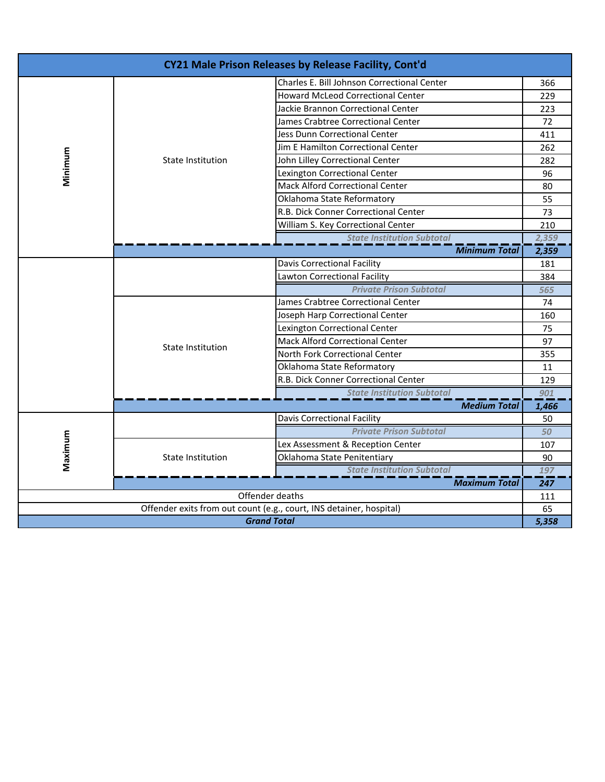| CY21 Male Prison Releases by Release Facility, Cont'd               |                                   |                                             |       |
|---------------------------------------------------------------------|-----------------------------------|---------------------------------------------|-------|
|                                                                     |                                   | Charles E. Bill Johnson Correctional Center | 366   |
|                                                                     |                                   | <b>Howard McLeod Correctional Center</b>    | 229   |
|                                                                     |                                   | Jackie Brannon Correctional Center          | 223   |
|                                                                     |                                   | James Crabtree Correctional Center          | 72    |
|                                                                     |                                   | Jess Dunn Correctional Center               | 411   |
|                                                                     |                                   | Jim E Hamilton Correctional Center          | 262   |
| Minimum                                                             | <b>State Institution</b>          | John Lilley Correctional Center             | 282   |
|                                                                     |                                   | Lexington Correctional Center               | 96    |
|                                                                     |                                   | Mack Alford Correctional Center             | 80    |
|                                                                     |                                   | Oklahoma State Reformatory                  | 55    |
|                                                                     |                                   | R.B. Dick Conner Correctional Center        | 73    |
|                                                                     |                                   | William S. Key Correctional Center          | 210   |
|                                                                     |                                   | <b>State Institution Subtotal</b>           | 2,359 |
|                                                                     |                                   | <b>Minimum Total</b>                        | 2,359 |
|                                                                     |                                   | <b>Davis Correctional Facility</b>          | 181   |
|                                                                     |                                   | Lawton Correctional Facility                | 384   |
|                                                                     |                                   | <b>Private Prison Subtotal</b>              | 565   |
|                                                                     | <b>State Institution</b>          | James Crabtree Correctional Center          | 74    |
|                                                                     |                                   | Joseph Harp Correctional Center             | 160   |
|                                                                     |                                   | Lexington Correctional Center               |       |
|                                                                     |                                   | <b>Mack Alford Correctional Center</b>      | 97    |
|                                                                     |                                   | North Fork Correctional Center              | 355   |
|                                                                     |                                   | Oklahoma State Reformatory                  |       |
|                                                                     |                                   | R.B. Dick Conner Correctional Center        | 129   |
|                                                                     |                                   | <b>State Institution Subtotal</b>           | 901   |
|                                                                     |                                   | <b>Medium Total</b>                         | 1,466 |
|                                                                     |                                   | <b>Davis Correctional Facility</b>          | 50    |
|                                                                     |                                   | <b>Private Prison Subtotal</b>              | 50    |
| Maximum                                                             | State Institution                 | Lex Assessment & Reception Center           | 107   |
|                                                                     |                                   | Oklahoma State Penitentiary                 | 90    |
|                                                                     | <b>State Institution Subtotal</b> |                                             | 197   |
|                                                                     |                                   | <b>Maximum Total</b>                        | 247   |
| Offender deaths                                                     |                                   |                                             | 111   |
| Offender exits from out count (e.g., court, INS detainer, hospital) |                                   |                                             | 65    |
| <b>Grand Total</b>                                                  |                                   |                                             | 5,358 |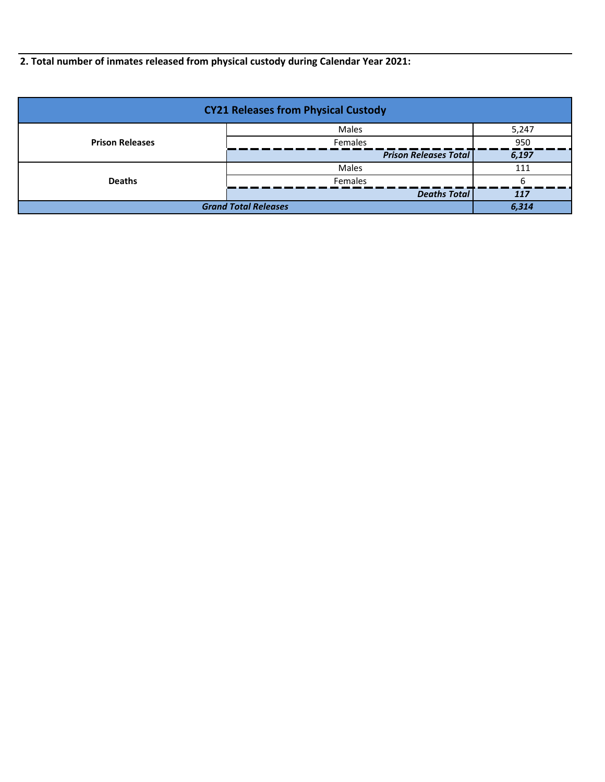**2. Total number of inmates released from physical custody during Calendar Year 2021:**

| <b>CY21 Releases from Physical Custody</b> |                              |       |  |
|--------------------------------------------|------------------------------|-------|--|
|                                            | Males                        | 5,247 |  |
| <b>Prison Releases</b>                     | <b>Females</b>               | 950   |  |
|                                            | <b>Prison Releases Total</b> | 6,197 |  |
|                                            | <b>Males</b>                 | 111   |  |
| <b>Deaths</b>                              | <b>Females</b>               |       |  |
|                                            | <b>Deaths Total</b>          | 117   |  |
| <b>Grand Total Releases</b>                |                              | 6.314 |  |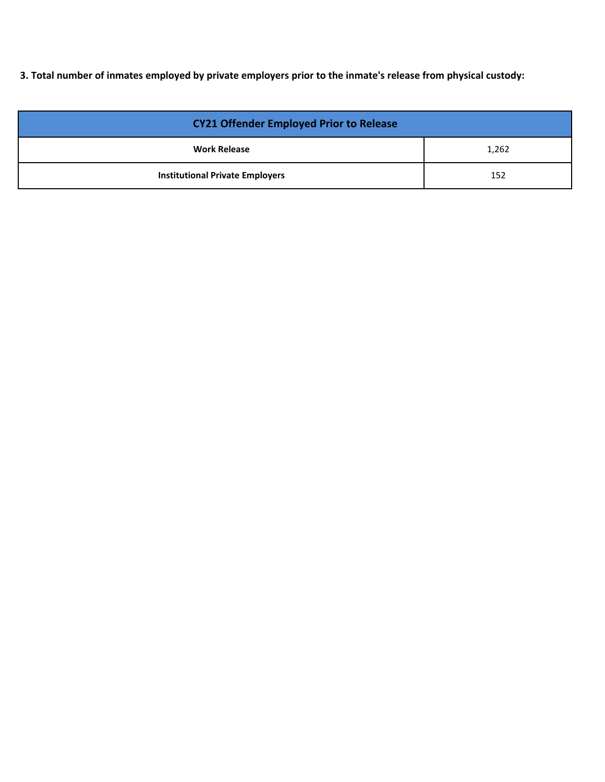**3. Total number of inmates employed by private employers prior to the inmate's release from physical custody:**

| <b>CY21 Offender Employed Prior to Release</b> |       |  |
|------------------------------------------------|-------|--|
| <b>Work Release</b>                            | 1,262 |  |
| <b>Institutional Private Employers</b>         | 152   |  |